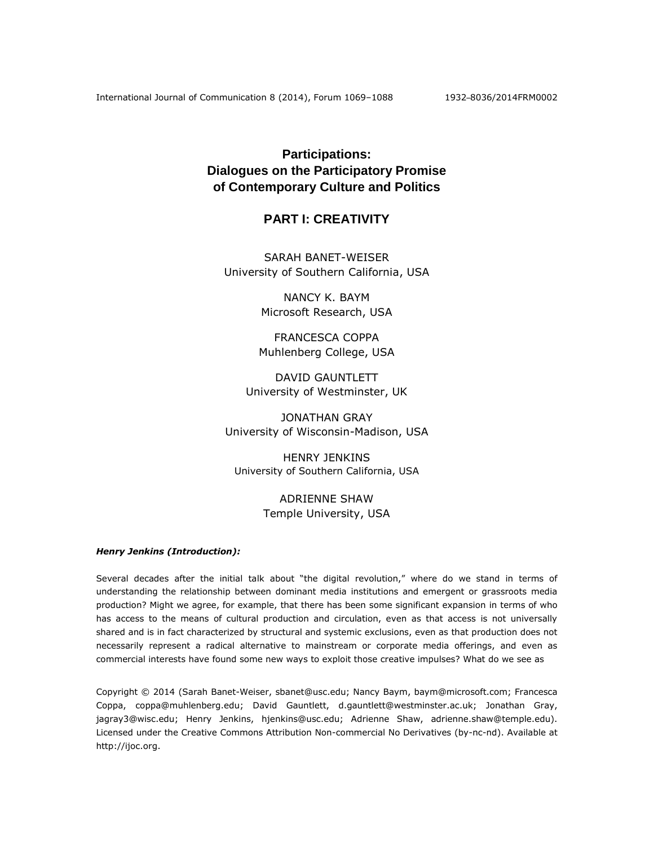# **Participations: Dialogues on the Participatory Promise of Contemporary Culture and Politics**

# **PART I: CREATIVITY**

SARAH BANET-WEISER University of Southern California, USA

> NANCY K. BAYM Microsoft Research, USA

FRANCESCA COPPA Muhlenberg College, USA

DAVID GAUNTLETT University of Westminster, UK

JONATHAN GRAY University of Wisconsin-Madison, USA

HENRY JENKINS University of Southern California, USA

> ADRIENNE SHAW Temple University, USA

# *Henry Jenkins (Introduction):*

Several decades after the initial talk about "the digital revolution," where do we stand in terms of understanding the relationship between dominant media institutions and emergent or grassroots media production? Might we agree, for example, that there has been some significant expansion in terms of who has access to the means of cultural production and circulation, even as that access is not universally shared and is in fact characterized by structural and systemic exclusions, even as that production does not necessarily represent a radical alternative to mainstream or corporate media offerings, and even as commercial interests have found some new ways to exploit those creative impulses? What do we see as

Copyright © 2014 (Sarah Banet-Weiser, [sbanet@usc.edu;](mailto:sbanet@usc.edu) Nancy Baym, baym@microsoft.com; Francesca Coppa, [coppa@muhlenberg.edu;](mailto:coppa@muhlenberg.edu) David Gauntlett, [d.gauntlett@westminster.ac.uk;](mailto:d.gauntlett@westminster.ac.uk) Jonathan Gray, [jagray3@wisc.edu;](mailto:jagray3@wisc.edu) Henry Jenkins, [hjenkins@usc.edu;](mailto:hjenkins@usc.edu) Adrienne Shaw, adrienne.shaw@temple.edu). Licensed under the Creative Commons Attribution Non-commercial No Derivatives (by-nc-nd). Available at http://ijoc.org.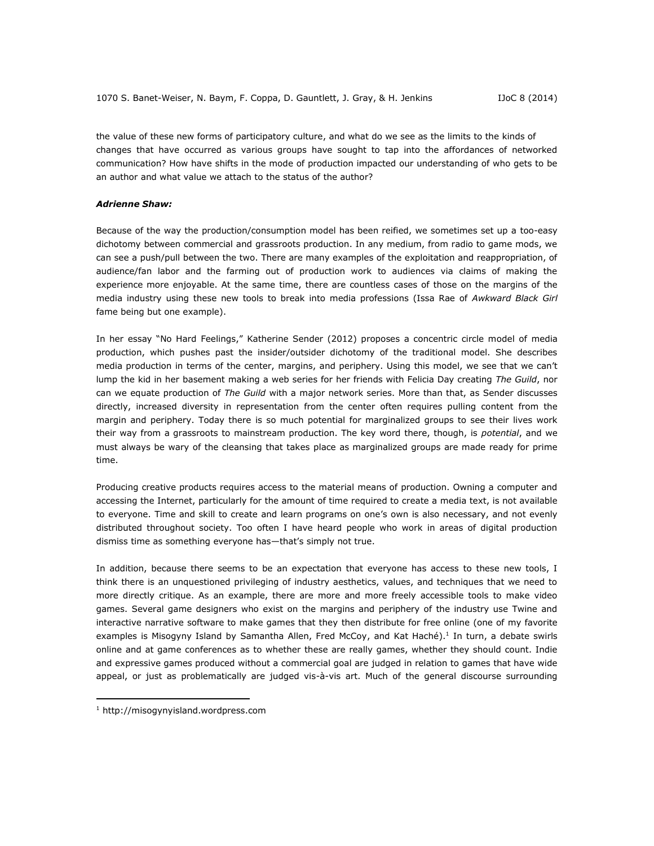the value of these new forms of participatory culture, and what do we see as the limits to the kinds of changes that have occurred as various groups have sought to tap into the affordances of networked communication? How have shifts in the mode of production impacted our understanding of who gets to be an author and what value we attach to the status of the author?

## *Adrienne Shaw:*

Because of the way the production/consumption model has been reified, we sometimes set up a too-easy dichotomy between commercial and grassroots production. In any medium, from radio to game mods, we can see a push/pull between the two. There are many examples of the exploitation and reappropriation, of audience/fan labor and the farming out of production work to audiences via claims of making the experience more enjoyable. At the same time, there are countless cases of those on the margins of the media industry using these new tools to break into media professions (Issa Rae of *Awkward Black Girl* fame being but one example).

In her essay "No Hard Feelings," Katherine Sender (2012) proposes a concentric circle model of media production, which pushes past the insider/outsider dichotomy of the traditional model. She describes media production in terms of the center, margins, and periphery. Using this model, we see that we can't lump the kid in her basement making a web series for her friends with Felicia Day creating *The Guild*, nor can we equate production of *The Guild* with a major network series. More than that, as Sender discusses directly, increased diversity in representation from the center often requires pulling content from the margin and periphery. Today there is so much potential for marginalized groups to see their lives work their way from a grassroots to mainstream production. The key word there, though, is *potential*, and we must always be wary of the cleansing that takes place as marginalized groups are made ready for prime time.

Producing creative products requires access to the material means of production. Owning a computer and accessing the Internet, particularly for the amount of time required to create a media text, is not available to everyone. Time and skill to create and learn programs on one's own is also necessary, and not evenly distributed throughout society. Too often I have heard people who work in areas of digital production dismiss time as something everyone has—that's simply not true.

In addition, because there seems to be an expectation that everyone has access to these new tools, I think there is an unquestioned privileging of industry aesthetics, values, and techniques that we need to more directly critique. As an example, there are more and more freely accessible tools to make video games. Several game designers who exist on the margins and periphery of the industry use Twine and interactive narrative software to make games that they then distribute for free online (one of my favorite examples is Misogyny Island by Samantha Allen, Fred McCoy, and Kat Haché).<sup>1</sup> In turn, a debate swirls online and at game conferences as to whether these are really games, whether they should count. Indie and expressive games produced without a commercial goal are judged in relation to games that have wide appeal, or just as problematically are judged vis-à-vis art. Much of the general discourse surrounding

 $\overline{a}$ 

<sup>1</sup> [http://misogynyisland.wordpress.com](http://misogynyisland.wordpress.com/)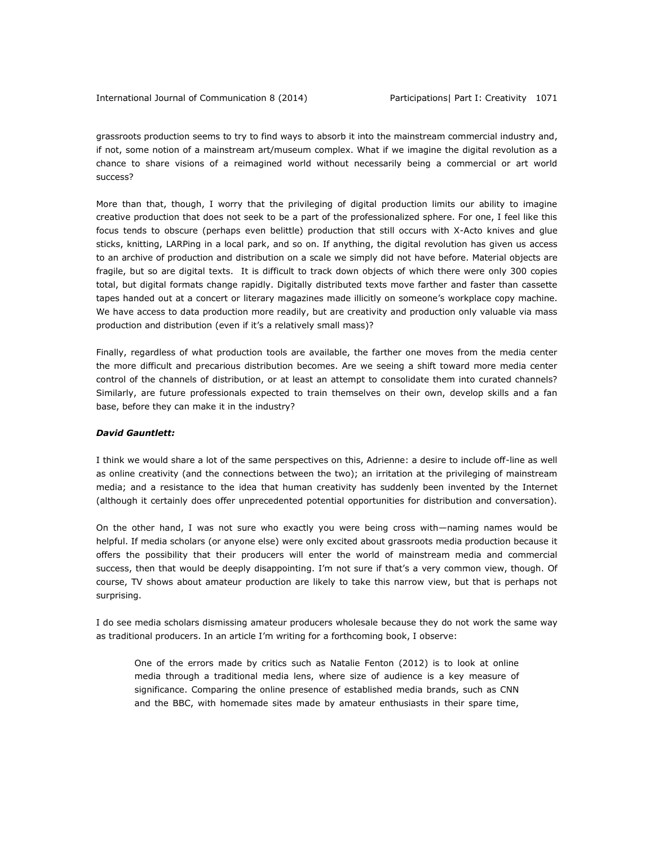International Journal of Communication 8 (2014) Participations| Part I: Creativity 1071

grassroots production seems to try to find ways to absorb it into the mainstream commercial industry and, if not, some notion of a mainstream art/museum complex. What if we imagine the digital revolution as a chance to share visions of a reimagined world without necessarily being a commercial or art world success?

More than that, though, I worry that the privileging of digital production limits our ability to imagine creative production that does not seek to be a part of the professionalized sphere. For one, I feel like this focus tends to obscure (perhaps even belittle) production that still occurs with X-Acto knives and glue sticks, knitting, LARPing in a local park, and so on. If anything, the digital revolution has given us access to an archive of production and distribution on a scale we simply did not have before. Material objects are fragile, but so are digital texts. It is difficult to track down objects of which there were only 300 copies total, but digital formats change rapidly. Digitally distributed texts move farther and faster than cassette tapes handed out at a concert or literary magazines made illicitly on someone's workplace copy machine. We have access to data production more readily, but are creativity and production only valuable via mass production and distribution (even if it's a relatively small mass)?

Finally, regardless of what production tools are available, the farther one moves from the media center the more difficult and precarious distribution becomes. Are we seeing a shift toward more media center control of the channels of distribution, or at least an attempt to consolidate them into curated channels? Similarly, are future professionals expected to train themselves on their own, develop skills and a fan base, before they can make it in the industry?

# *David Gauntlett:*

I think we would share a lot of the same perspectives on this, Adrienne: a desire to include off-line as well as online creativity (and the connections between the two); an irritation at the privileging of mainstream media; and a resistance to the idea that human creativity has suddenly been invented by the Internet (although it certainly does offer unprecedented potential opportunities for distribution and conversation).

On the other hand, I was not sure who exactly you were being cross with—naming names would be helpful. If media scholars (or anyone else) were only excited about grassroots media production because it offers the possibility that their producers will enter the world of mainstream media and commercial success, then that would be deeply disappointing. I'm not sure if that's a very common view, though. Of course, TV shows about amateur production are likely to take this narrow view, but that is perhaps not surprising.

I do see media scholars dismissing amateur producers wholesale because they do not work the same way as traditional producers. In an article I'm writing for a forthcoming book, I observe:

One of the errors made by critics such as Natalie Fenton (2012) is to look at online media through a traditional media lens, where size of audience is a key measure of significance. Comparing the online presence of established media brands, such as CNN and the BBC, with homemade sites made by amateur enthusiasts in their spare time,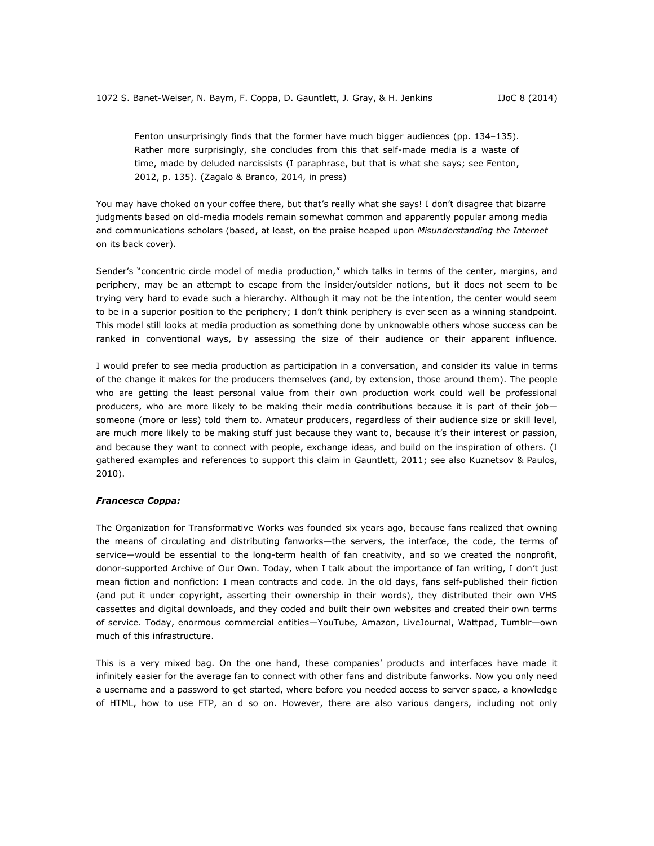Fenton unsurprisingly finds that the former have much bigger audiences (pp. 134–135). Rather more surprisingly, she concludes from this that self-made media is a waste of time, made by deluded narcissists (I paraphrase, but that is what she says; see Fenton, 2012, p. 135). (Zagalo & Branco, 2014, in press)

You may have choked on your coffee there, but that's really what she says! I don't disagree that bizarre judgments based on old-media models remain somewhat common and apparently popular among media and communications scholars (based, at least, on the praise heaped upon *Misunderstanding the Internet* on its back cover).

Sender's "concentric circle model of media production," which talks in terms of the center, margins, and periphery, may be an attempt to escape from the insider/outsider notions, but it does not seem to be trying very hard to evade such a hierarchy. Although it may not be the intention, the center would seem to be in a superior position to the periphery; I don't think periphery is ever seen as a winning standpoint. This model still looks at media production as something done by unknowable others whose success can be ranked in conventional ways, by assessing the size of their audience or their apparent influence.

I would prefer to see media production as participation in a conversation, and consider its value in terms of the change it makes for the producers themselves (and, by extension, those around them). The people who are getting the least personal value from their own production work could well be professional producers, who are more likely to be making their media contributions because it is part of their job someone (more or less) told them to. Amateur producers, regardless of their audience size or skill level, are much more likely to be making stuff just because they want to, because it's their interest or passion, and because they want to connect with people, exchange ideas, and build on the inspiration of others. (I gathered examples and references to support this claim in Gauntlett, 2011; see also Kuznetsov & Paulos, 2010).

#### *Francesca Coppa:*

The Organization for Transformative Works was founded six years ago, because fans realized that owning the means of circulating and distributing fanworks—the servers, the interface, the code, the terms of service—would be essential to the long-term health of fan creativity, and so we created the nonprofit, donor-supported Archive of Our Own. Today, when I talk about the importance of fan writing, I don't just mean fiction and nonfiction: I mean contracts and code. In the old days, fans self-published their fiction (and put it under copyright, asserting their ownership in their words), they distributed their own VHS cassettes and digital downloads, and they coded and built their own websites and created their own terms of service. Today, enormous commercial entities—YouTube, Amazon, LiveJournal, Wattpad, Tumblr—own much of this infrastructure.

This is a very mixed bag. On the one hand, these companies' products and interfaces have made it infinitely easier for the average fan to connect with other fans and distribute fanworks. Now you only need a username and a password to get started, where before you needed access to server space, a knowledge of HTML, how to use FTP, an d so on. However, there are also various dangers, including not only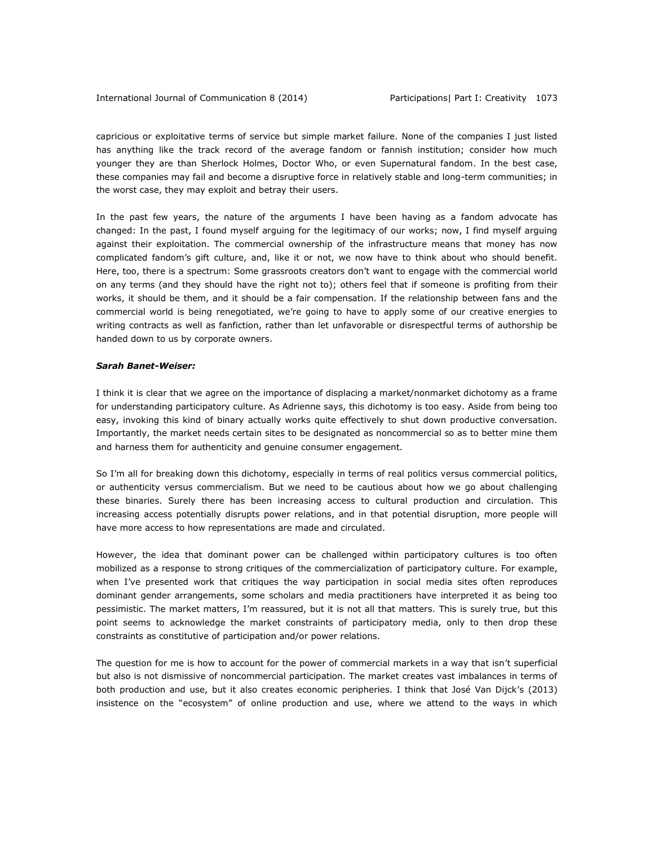capricious or exploitative terms of service but simple market failure. None of the companies I just listed has anything like the track record of the average fandom or fannish institution; consider how much younger they are than Sherlock Holmes, Doctor Who, or even Supernatural fandom. In the best case, these companies may fail and become a disruptive force in relatively stable and long-term communities; in the worst case, they may exploit and betray their users.

In the past few years, the nature of the arguments I have been having as a fandom advocate has changed: In the past, I found myself arguing for the legitimacy of our works; now, I find myself arguing against their exploitation. The commercial ownership of the infrastructure means that money has now complicated fandom's gift culture, and, like it or not, we now have to think about who should benefit. Here, too, there is a spectrum: Some grassroots creators don't want to engage with the commercial world on any terms (and they should have the right not to); others feel that if someone is profiting from their works, it should be them, and it should be a fair compensation. If the relationship between fans and the commercial world is being renegotiated, we're going to have to apply some of our creative energies to writing contracts as well as fanfiction, rather than let unfavorable or disrespectful terms of authorship be handed down to us by corporate owners.

## *Sarah Banet-Weiser:*

I think it is clear that we agree on the importance of displacing a market/nonmarket dichotomy as a frame for understanding participatory culture. As Adrienne says, this dichotomy is too easy. Aside from being too easy, invoking this kind of binary actually works quite effectively to shut down productive conversation. Importantly, the market needs certain sites to be designated as noncommercial so as to better mine them and harness them for authenticity and genuine consumer engagement.

So I'm all for breaking down this dichotomy, especially in terms of real politics versus commercial politics, or authenticity versus commercialism. But we need to be cautious about how we go about challenging these binaries. Surely there has been increasing access to cultural production and circulation. This increasing access potentially disrupts power relations, and in that potential disruption, more people will have more access to how representations are made and circulated.

However, the idea that dominant power can be challenged within participatory cultures is too often mobilized as a response to strong critiques of the commercialization of participatory culture. For example, when I've presented work that critiques the way participation in social media sites often reproduces dominant gender arrangements, some scholars and media practitioners have interpreted it as being too pessimistic. The market matters, I'm reassured, but it is not all that matters. This is surely true, but this point seems to acknowledge the market constraints of participatory media, only to then drop these constraints as constitutive of participation and/or power relations.

The question for me is how to account for the power of commercial markets in a way that isn't superficial but also is not dismissive of noncommercial participation. The market creates vast imbalances in terms of both production and use, but it also creates economic peripheries. I think that José Van Dijck's (2013) insistence on the "ecosystem" of online production and use, where we attend to the ways in which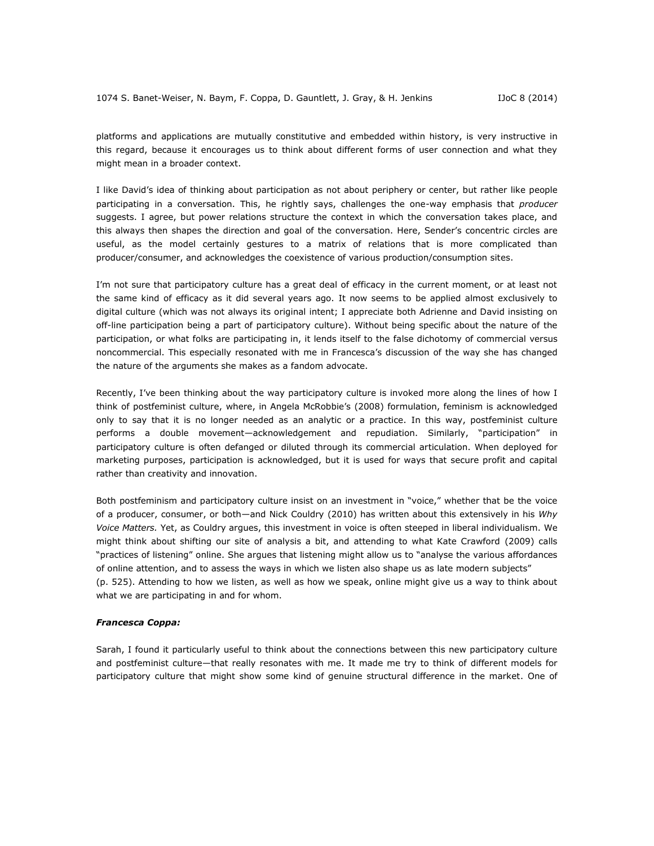platforms and applications are mutually constitutive and embedded within history, is very instructive in this regard, because it encourages us to think about different forms of user connection and what they might mean in a broader context.

I like David's idea of thinking about participation as not about periphery or center, but rather like people participating in a conversation. This, he rightly says, challenges the one-way emphasis that *producer* suggests. I agree, but power relations structure the context in which the conversation takes place, and this always then shapes the direction and goal of the conversation. Here, Sender's concentric circles are useful, as the model certainly gestures to a matrix of relations that is more complicated than producer/consumer, and acknowledges the coexistence of various production/consumption sites.

I'm not sure that participatory culture has a great deal of efficacy in the current moment, or at least not the same kind of efficacy as it did several years ago. It now seems to be applied almost exclusively to digital culture (which was not always its original intent; I appreciate both Adrienne and David insisting on off-line participation being a part of participatory culture). Without being specific about the nature of the participation, or what folks are participating in, it lends itself to the false dichotomy of commercial versus noncommercial. This especially resonated with me in Francesca's discussion of the way she has changed the nature of the arguments she makes as a fandom advocate.

Recently, I've been thinking about the way participatory culture is invoked more along the lines of how I think of postfeminist culture, where, in Angela McRobbie's (2008) formulation, feminism is acknowledged only to say that it is no longer needed as an analytic or a practice. In this way, postfeminist culture performs a double movement—acknowledgement and repudiation. Similarly, "participation" in participatory culture is often defanged or diluted through its commercial articulation. When deployed for marketing purposes, participation is acknowledged, but it is used for ways that secure profit and capital rather than creativity and innovation.

Both postfeminism and participatory culture insist on an investment in "voice," whether that be the voice of a producer, consumer, or both—and Nick Couldry (2010) has written about this extensively in his *Why Voice Matters.* Yet, as Couldry argues, this investment in voice is often steeped in liberal individualism. We might think about shifting our site of analysis a bit, and attending to what Kate Crawford (2009) calls "practices of listening" online. She argues that listening might allow us to "analyse the various affordances of online attention, and to assess the ways in which we listen also shape us as late modern subjects" (p. 525). Attending to how we listen, as well as how we speak, online might give us a way to think about what we are participating in and for whom.

#### *Francesca Coppa:*

Sarah, I found it particularly useful to think about the connections between this new participatory culture and postfeminist culture—that really resonates with me. It made me try to think of different models for participatory culture that might show some kind of genuine structural difference in the market. One of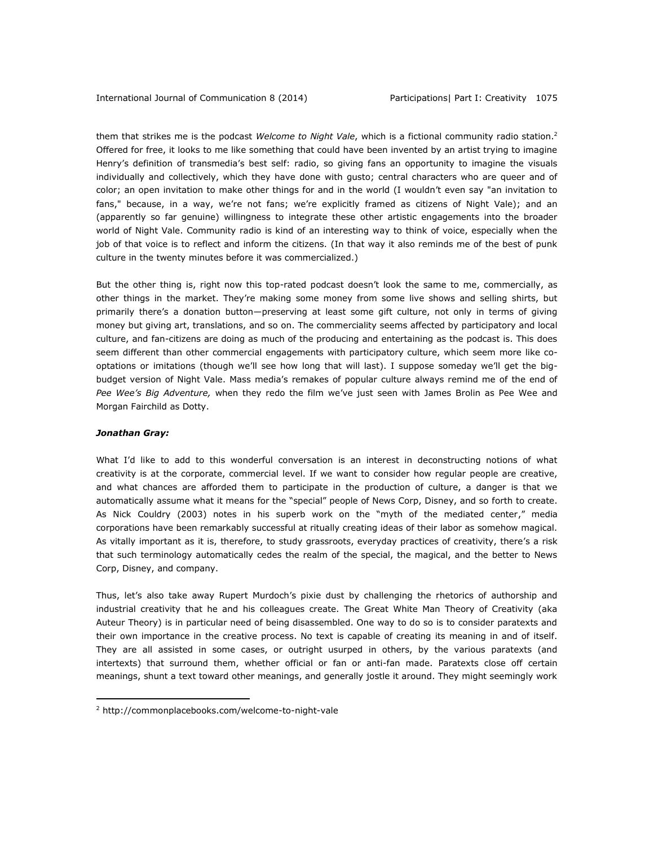them that strikes me is the podcast *Welcome to Night Vale*, which is a fictional community radio station.<sup>2</sup> Offered for free, it looks to me like something that could have been invented by an artist trying to imagine Henry's definition of transmedia's best self: radio, so giving fans an opportunity to imagine the visuals individually and collectively, which they have done with gusto; central characters who are queer and of color; an open invitation to make other things for and in the world (I wouldn't even say "an invitation to fans," because, in a way, we're not fans; we're explicitly framed as citizens of Night Vale); and an (apparently so far genuine) willingness to integrate these other artistic engagements into the broader world of Night Vale. Community radio is kind of an interesting way to think of voice, especially when the job of that voice is to reflect and inform the citizens. (In that way it also reminds me of the best of punk culture in the twenty minutes before it was commercialized.)

But the other thing is, right now this top-rated podcast doesn't look the same to me, commercially, as other things in the market. They're making some money from some live shows and selling shirts, but primarily there's a donation button—preserving at least some gift culture, not only in terms of giving money but giving art, translations, and so on. The commerciality seems affected by participatory and local culture, and fan-citizens are doing as much of the producing and entertaining as the podcast is. This does seem different than other commercial engagements with participatory culture, which seem more like cooptations or imitations (though we'll see how long that will last). I suppose someday we'll get the bigbudget version of Night Vale. Mass media's remakes of popular culture always remind me of the end of *Pee Wee's Big Adventure,* when they redo the film we've just seen with James Brolin as Pee Wee and Morgan Fairchild as Dotty.

## *Jonathan Gray:*

 $\overline{a}$ 

What I'd like to add to this wonderful conversation is an interest in deconstructing notions of what creativity is at the corporate, commercial level. If we want to consider how regular people are creative, and what chances are afforded them to participate in the production of culture, a danger is that we automatically assume what it means for the "special" people of News Corp, Disney, and so forth to create. As Nick Couldry (2003) notes in his superb work on the "myth of the mediated center," media corporations have been remarkably successful at ritually creating ideas of their labor as somehow magical. As vitally important as it is, therefore, to study grassroots, everyday practices of creativity, there's a risk that such terminology automatically cedes the realm of the special, the magical, and the better to News Corp, Disney, and company.

Thus, let's also take away Rupert Murdoch's pixie dust by challenging the rhetorics of authorship and industrial creativity that he and his colleagues create. The Great White Man Theory of Creativity (aka Auteur Theory) is in particular need of being disassembled. One way to do so is to consider paratexts and their own importance in the creative process. No text is capable of creating its meaning in and of itself. They are all assisted in some cases, or outright usurped in others, by the various paratexts (and intertexts) that surround them, whether official or fan or anti-fan made. Paratexts close off certain meanings, shunt a text toward other meanings, and generally jostle it around. They might seemingly work

<sup>2</sup> <http://commonplacebooks.com/welcome-to-night-vale>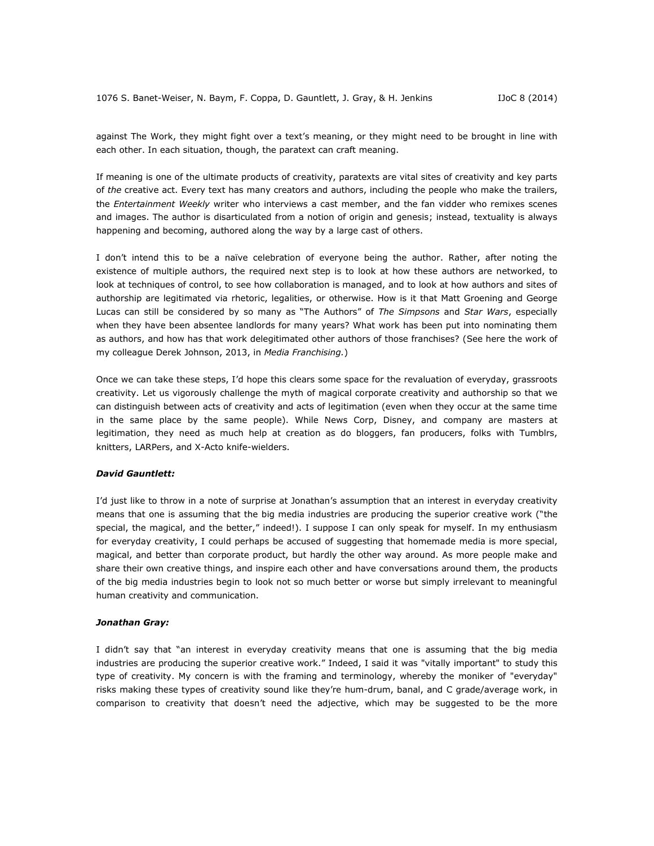against The Work, they might fight over a text's meaning, or they might need to be brought in line with each other. In each situation, though, the paratext can craft meaning.

If meaning is one of the ultimate products of creativity, paratexts are vital sites of creativity and key parts of *the* creative act. Every text has many creators and authors, including the people who make the trailers, the *Entertainment Weekly* writer who interviews a cast member, and the fan vidder who remixes scenes and images. The author is disarticulated from a notion of origin and genesis; instead, textuality is always happening and becoming, authored along the way by a large cast of others.

I don't intend this to be a naïve celebration of everyone being the author. Rather, after noting the existence of multiple authors, the required next step is to look at how these authors are networked, to look at techniques of control, to see how collaboration is managed, and to look at how authors and sites of authorship are legitimated via rhetoric, legalities, or otherwise. How is it that Matt Groening and George Lucas can still be considered by so many as "The Authors" of *The Simpsons* and *Star Wars*, especially when they have been absentee landlords for many years? What work has been put into nominating them as authors, and how has that work delegitimated other authors of those franchises? (See here the work of my colleague Derek Johnson, 2013, in *Media Franchising.*)

Once we can take these steps, I'd hope this clears some space for the revaluation of everyday, grassroots creativity. Let us vigorously challenge the myth of magical corporate creativity and authorship so that we can distinguish between acts of creativity and acts of legitimation (even when they occur at the same time in the same place by the same people). While News Corp, Disney, and company are masters at legitimation, they need as much help at creation as do bloggers, fan producers, folks with Tumblrs, knitters, LARPers, and X-Acto knife-wielders.

#### *David Gauntlett:*

I'd just like to throw in a note of surprise at Jonathan's assumption that an interest in everyday creativity means that one is assuming that the big media industries are producing the superior creative work ("the special, the magical, and the better," indeed!). I suppose I can only speak for myself. In my enthusiasm for everyday creativity, I could perhaps be accused of suggesting that homemade media is more special, magical, and better than corporate product, but hardly the other way around. As more people make and share their own creative things, and inspire each other and have conversations around them, the products of the big media industries begin to look not so much better or worse but simply irrelevant to meaningful human creativity and communication.

#### *Jonathan Gray:*

I didn't say that "an interest in everyday creativity means that one is assuming that the big media industries are producing the superior creative work." Indeed, I said it was "vitally important" to study this type of creativity. My concern is with the framing and terminology, whereby the moniker of "everyday" risks making these types of creativity sound like they're hum-drum, banal, and C grade/average work, in comparison to creativity that doesn't need the adjective, which may be suggested to be the more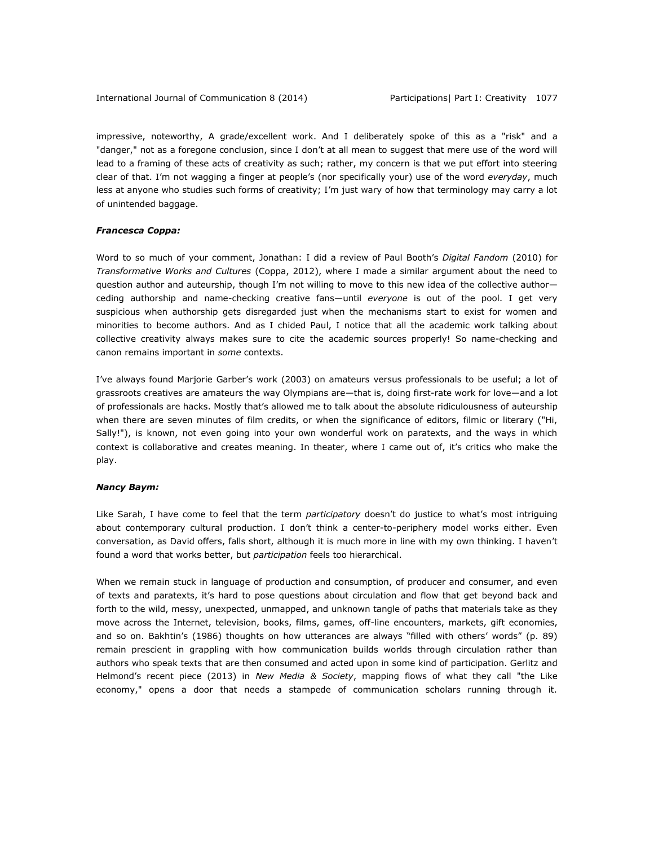impressive, noteworthy, A grade/excellent work. And I deliberately spoke of this as a "risk" and a "danger," not as a foregone conclusion, since I don't at all mean to suggest that mere use of the word will lead to a framing of these acts of creativity as such; rather, my concern is that we put effort into steering clear of that. I'm not wagging a finger at people's (nor specifically your) use of the word *everyday*, much less at anyone who studies such forms of creativity; I'm just wary of how that terminology may carry a lot of unintended baggage.

## *Francesca Coppa:*

Word to so much of your comment, Jonathan: I did a review of Paul Booth's *Digital Fandom* (2010) for *Transformative Works and Cultures* (Coppa, 2012), where I made a similar argument about the need to question author and auteurship, though I'm not willing to move to this new idea of the collective author ceding authorship and name-checking creative fans—until *everyone* is out of the pool. I get very suspicious when authorship gets disregarded just when the mechanisms start to exist for women and minorities to become authors. And as I chided Paul, I notice that all the academic work talking about collective creativity always makes sure to cite the academic sources properly! So name-checking and canon remains important in *some* contexts.

I've always found Marjorie Garber's work (2003) on amateurs versus professionals to be useful; a lot of grassroots creatives are amateurs the way Olympians are—that is, doing first-rate work for love—and a lot of professionals are hacks. Mostly that's allowed me to talk about the absolute ridiculousness of auteurship when there are seven minutes of film credits, or when the significance of editors, filmic or literary ("Hi, Sally!"), is known, not even going into your own wonderful work on paratexts, and the ways in which context is collaborative and creates meaning. In theater, where I came out of, it's critics who make the play.

## *Nancy Baym:*

Like Sarah, I have come to feel that the term *participatory* doesn't do justice to what's most intriguing about contemporary cultural production. I don't think a center-to-periphery model works either. Even conversation, as David offers, falls short, although it is much more in line with my own thinking. I haven't found a word that works better, but *participation* feels too hierarchical.

When we remain stuck in language of production and consumption, of producer and consumer, and even of texts and paratexts, it's hard to pose questions about circulation and flow that get beyond back and forth to the wild, messy, unexpected, unmapped, and unknown tangle of paths that materials take as they move across the Internet, television, books, films, games, off-line encounters, markets, gift economies, and so on. Bakhtin's (1986) thoughts on how utterances are always "filled with others' words" (p. 89) remain prescient in grappling with how communication builds worlds through circulation rather than authors who speak texts that are then consumed and acted upon in some kind of participation. Gerlitz and Helmond's recent piece (2013) in *New Media & Society*, mapping flows of what they call "the Like economy," opens a door that needs a stampede of communication scholars running through it.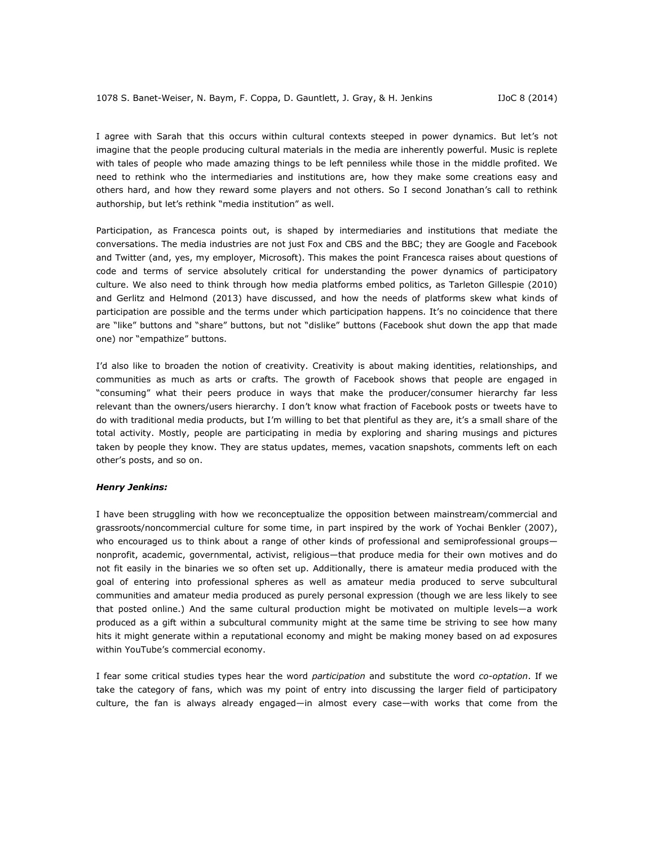I agree with Sarah that this occurs within cultural contexts steeped in power dynamics. But let's not imagine that the people producing cultural materials in the media are inherently powerful. Music is replete with tales of people who made amazing things to be left penniless while those in the middle profited. We need to rethink who the intermediaries and institutions are, how they make some creations easy and others hard, and how they reward some players and not others. So I second Jonathan's call to rethink authorship, but let's rethink "media institution" as well.

Participation, as Francesca points out, is shaped by intermediaries and institutions that mediate the conversations. The media industries are not just Fox and CBS and the BBC; they are Google and Facebook and Twitter (and, yes, my employer, Microsoft). This makes the point Francesca raises about questions of code and terms of service absolutely critical for understanding the power dynamics of participatory culture. We also need to think through how media platforms embed politics, as Tarleton Gillespie (2010) and Gerlitz and Helmond (2013) have discussed, and how the needs of platforms skew what kinds of participation are possible and the terms under which participation happens. It's no coincidence that there are "like" buttons and "share" buttons, but not "dislike" buttons (Facebook shut down the app that made one) nor "empathize" buttons.

I'd also like to broaden the notion of creativity. Creativity is about making identities, relationships, and communities as much as arts or crafts. The growth of Facebook shows that people are engaged in "consuming" what their peers produce in ways that make the producer/consumer hierarchy far less relevant than the owners/users hierarchy. I don't know what fraction of Facebook posts or tweets have to do with traditional media products, but I'm willing to bet that plentiful as they are, it's a small share of the total activity. Mostly, people are participating in media by exploring and sharing musings and pictures taken by people they know. They are status updates, memes, vacation snapshots, comments left on each other's posts, and so on.

#### *Henry Jenkins:*

I have been struggling with how we reconceptualize the opposition between mainstream/commercial and grassroots/noncommercial culture for some time, in part inspired by the work of Yochai Benkler (2007), who encouraged us to think about a range of other kinds of professional and semiprofessional groupsnonprofit, academic, governmental, activist, religious—that produce media for their own motives and do not fit easily in the binaries we so often set up. Additionally, there is amateur media produced with the goal of entering into professional spheres as well as amateur media produced to serve subcultural communities and amateur media produced as purely personal expression (though we are less likely to see that posted online.) And the same cultural production might be motivated on multiple levels—a work produced as a gift within a subcultural community might at the same time be striving to see how many hits it might generate within a reputational economy and might be making money based on ad exposures within YouTube's commercial economy.

I fear some critical studies types hear the word *participation* and substitute the word *co-optation*. If we take the category of fans, which was my point of entry into discussing the larger field of participatory culture, the fan is always already engaged—in almost every case—with works that come from the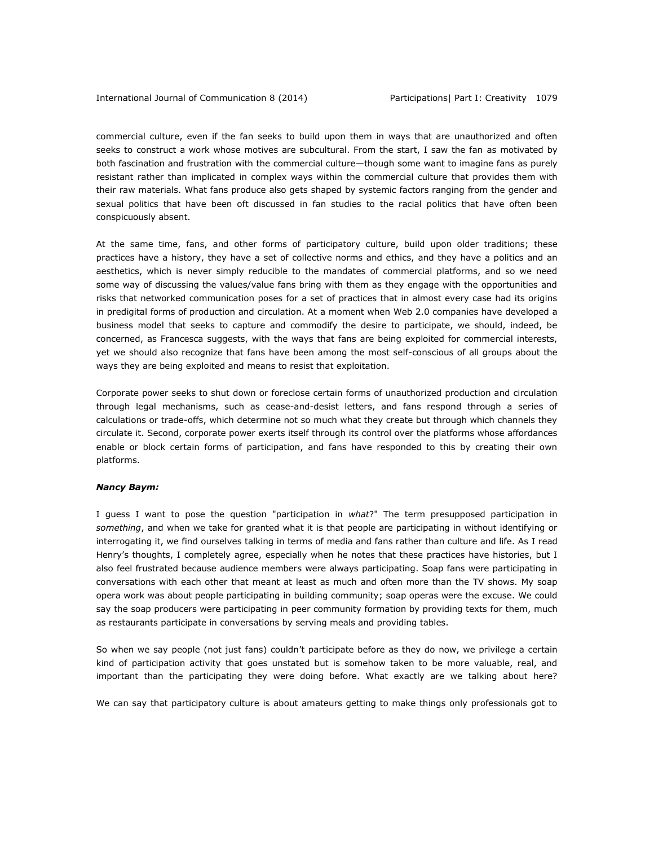commercial culture, even if the fan seeks to build upon them in ways that are unauthorized and often seeks to construct a work whose motives are subcultural. From the start, I saw the fan as motivated by both fascination and frustration with the commercial culture—though some want to imagine fans as purely resistant rather than implicated in complex ways within the commercial culture that provides them with their raw materials. What fans produce also gets shaped by systemic factors ranging from the gender and sexual politics that have been oft discussed in fan studies to the racial politics that have often been conspicuously absent.

At the same time, fans, and other forms of participatory culture, build upon older traditions; these practices have a history, they have a set of collective norms and ethics, and they have a politics and an aesthetics, which is never simply reducible to the mandates of commercial platforms, and so we need some way of discussing the values/value fans bring with them as they engage with the opportunities and risks that networked communication poses for a set of practices that in almost every case had its origins in predigital forms of production and circulation. At a moment when Web 2.0 companies have developed a business model that seeks to capture and commodify the desire to participate, we should, indeed, be concerned, as Francesca suggests, with the ways that fans are being exploited for commercial interests, yet we should also recognize that fans have been among the most self-conscious of all groups about the ways they are being exploited and means to resist that exploitation.

Corporate power seeks to shut down or foreclose certain forms of unauthorized production and circulation through legal mechanisms, such as cease-and-desist letters, and fans respond through a series of calculations or trade-offs, which determine not so much what they create but through which channels they circulate it. Second, corporate power exerts itself through its control over the platforms whose affordances enable or block certain forms of participation, and fans have responded to this by creating their own platforms.

## *Nancy Baym:*

I guess I want to pose the question "participation in *what*?" The term presupposed participation in *something*, and when we take for granted what it is that people are participating in without identifying or interrogating it, we find ourselves talking in terms of media and fans rather than culture and life. As I read Henry's thoughts, I completely agree, especially when he notes that these practices have histories, but I also feel frustrated because audience members were always participating. Soap fans were participating in conversations with each other that meant at least as much and often more than the TV shows. My soap opera work was about people participating in building community; soap operas were the excuse. We could say the soap producers were participating in peer community formation by providing texts for them, much as restaurants participate in conversations by serving meals and providing tables.

So when we say people (not just fans) couldn't participate before as they do now, we privilege a certain kind of participation activity that goes unstated but is somehow taken to be more valuable, real, and important than the participating they were doing before. What exactly are we talking about here?

We can say that participatory culture is about amateurs getting to make things only professionals got to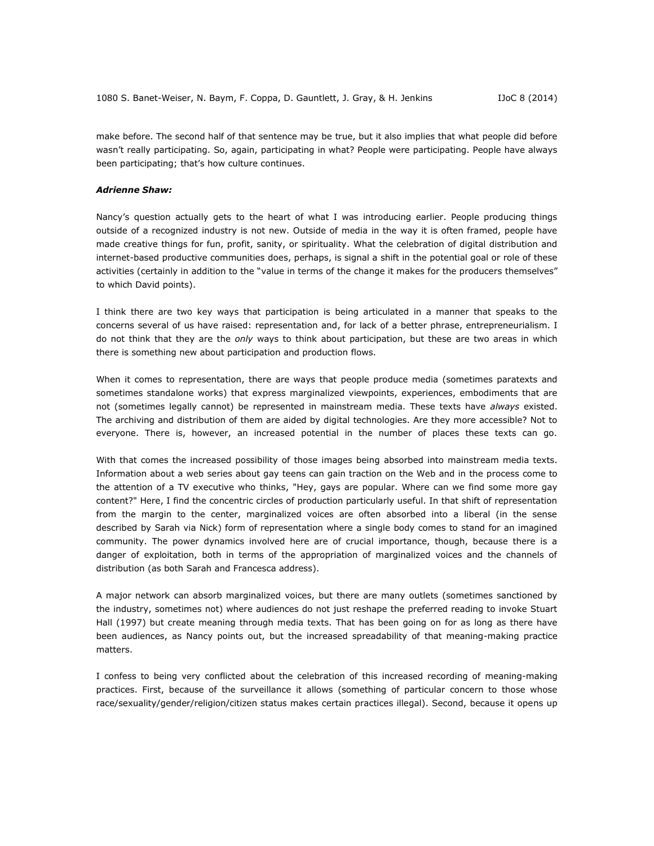make before. The second half of that sentence may be true, but it also implies that what people did before wasn't really participating. So, again, participating in what? People were participating. People have always been participating; that's how culture continues.

#### *Adrienne Shaw:*

Nancy's question actually gets to the heart of what I was introducing earlier. People producing things outside of a recognized industry is not new. Outside of media in the way it is often framed, people have made creative things for fun, profit, sanity, or spirituality. What the celebration of digital distribution and internet-based productive communities does, perhaps, is signal a shift in the potential goal or role of these activities (certainly in addition to the "value in terms of the change it makes for the producers themselves" to which David points).

I think there are two key ways that participation is being articulated in a manner that speaks to the concerns several of us have raised: representation and, for lack of a better phrase, entrepreneurialism. I do not think that they are the *only* ways to think about participation, but these are two areas in which there is something new about participation and production flows.

When it comes to representation, there are ways that people produce media (sometimes paratexts and sometimes standalone works) that express marginalized viewpoints, experiences, embodiments that are not (sometimes legally cannot) be represented in mainstream media. These texts have *always* existed. The archiving and distribution of them are aided by digital technologies. Are they more accessible? Not to everyone. There is, however, an increased potential in the number of places these texts can go.

With that comes the increased possibility of those images being absorbed into mainstream media texts. Information about a web series about gay teens can gain traction on the Web and in the process come to the attention of a TV executive who thinks, "Hey, gays are popular. Where can we find some more gay content?" Here, I find the concentric circles of production particularly useful. In that shift of representation from the margin to the center, marginalized voices are often absorbed into a liberal (in the sense described by Sarah via Nick) form of representation where a single body comes to stand for an imagined community. The power dynamics involved here are of crucial importance, though, because there is a danger of exploitation, both in terms of the appropriation of marginalized voices and the channels of distribution (as both Sarah and Francesca address).

A major network can absorb marginalized voices, but there are many outlets (sometimes sanctioned by the industry, sometimes not) where audiences do not just reshape the preferred reading to invoke Stuart Hall (1997) but create meaning through media texts. That has been going on for as long as there have been audiences, as Nancy points out, but the increased spreadability of that meaning-making practice matters.

I confess to being very conflicted about the celebration of this increased recording of meaning-making practices. First, because of the surveillance it allows (something of particular concern to those whose race/sexuality/gender/religion/citizen status makes certain practices illegal). Second, because it opens up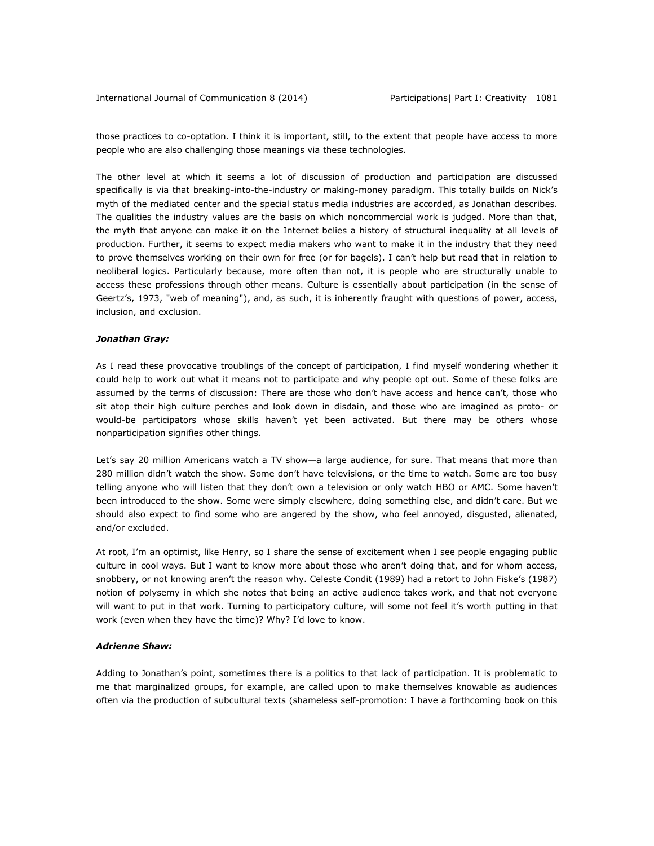those practices to co-optation. I think it is important, still, to the extent that people have access to more people who are also challenging those meanings via these technologies.

The other level at which it seems a lot of discussion of production and participation are discussed specifically is via that breaking-into-the-industry or making-money paradigm. This totally builds on Nick's myth of the mediated center and the special status media industries are accorded, as Jonathan describes. The qualities the industry values are the basis on which noncommercial work is judged. More than that, the myth that anyone can make it on the Internet belies a history of structural inequality at all levels of production. Further, it seems to expect media makers who want to make it in the industry that they need to prove themselves working on their own for free (or for bagels). I can't help but read that in relation to neoliberal logics. Particularly because, more often than not, it is people who are structurally unable to access these professions through other means. Culture is essentially about participation (in the sense of Geertz's, 1973, "web of meaning"), and, as such, it is inherently fraught with questions of power, access, inclusion, and exclusion.

## *Jonathan Gray:*

As I read these provocative troublings of the concept of participation, I find myself wondering whether it could help to work out what it means not to participate and why people opt out. Some of these folks are assumed by the terms of discussion: There are those who don't have access and hence can't, those who sit atop their high culture perches and look down in disdain, and those who are imagined as proto- or would-be participators whose skills haven't yet been activated. But there may be others whose nonparticipation signifies other things.

Let's say 20 million Americans watch a TV show—a large audience, for sure. That means that more than 280 million didn't watch the show. Some don't have televisions, or the time to watch. Some are too busy telling anyone who will listen that they don't own a television or only watch HBO or AMC. Some haven't been introduced to the show. Some were simply elsewhere, doing something else, and didn't care. But we should also expect to find some who are angered by the show, who feel annoyed, disgusted, alienated, and/or excluded.

At root, I'm an optimist, like Henry, so I share the sense of excitement when I see people engaging public culture in cool ways. But I want to know more about those who aren't doing that, and for whom access, snobbery, or not knowing aren't the reason why. Celeste Condit (1989) had a retort to John Fiske's (1987) notion of polysemy in which she notes that being an active audience takes work, and that not everyone will want to put in that work. Turning to participatory culture, will some not feel it's worth putting in that work (even when they have the time)? Why? I'd love to know.

# *Adrienne Shaw:*

Adding to Jonathan's point, sometimes there is a politics to that lack of participation. It is problematic to me that marginalized groups, for example, are called upon to make themselves knowable as audiences often via the production of subcultural texts (shameless self-promotion: I have a forthcoming book on this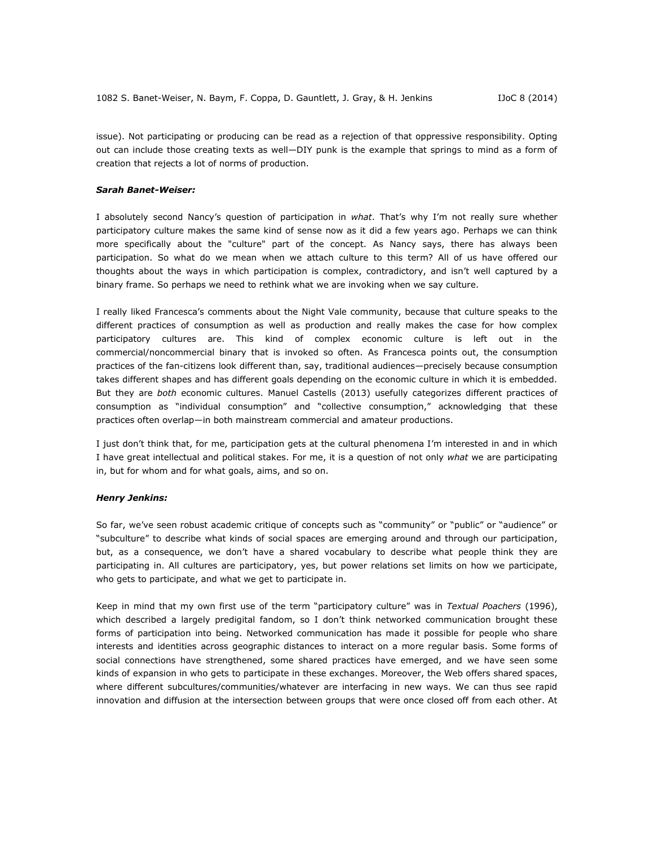issue). Not participating or producing can be read as a rejection of that oppressive responsibility. Opting out can include those creating texts as well—DIY punk is the example that springs to mind as a form of creation that rejects a lot of norms of production.

## *Sarah Banet-Weiser:*

I absolutely second Nancy's question of participation in *what*. That's why I'm not really sure whether participatory culture makes the same kind of sense now as it did a few years ago. Perhaps we can think more specifically about the "culture" part of the concept. As Nancy says, there has always been participation. So what do we mean when we attach culture to this term? All of us have offered our thoughts about the ways in which participation is complex, contradictory, and isn't well captured by a binary frame. So perhaps we need to rethink what we are invoking when we say culture.

I really liked Francesca's comments about the Night Vale community, because that culture speaks to the different practices of consumption as well as production and really makes the case for how complex participatory cultures are. This kind of complex economic culture is left out in the commercial/noncommercial binary that is invoked so often. As Francesca points out, the consumption practices of the fan-citizens look different than, say, traditional audiences—precisely because consumption takes different shapes and has different goals depending on the economic culture in which it is embedded. But they are *both* economic cultures. Manuel Castells (2013) usefully categorizes different practices of consumption as "individual consumption" and "collective consumption," acknowledging that these practices often overlap—in both mainstream commercial and amateur productions.

I just don't think that, for me, participation gets at the cultural phenomena I'm interested in and in which I have great intellectual and political stakes. For me, it is a question of not only *what* we are participating in, but for whom and for what goals, aims, and so on.

#### *Henry Jenkins:*

So far, we've seen robust academic critique of concepts such as "community" or "public" or "audience" or "subculture" to describe what kinds of social spaces are emerging around and through our participation, but, as a consequence, we don't have a shared vocabulary to describe what people think they are participating in. All cultures are participatory, yes, but power relations set limits on how we participate, who gets to participate, and what we get to participate in.

Keep in mind that my own first use of the term "participatory culture" was in *Textual Poachers* (1996), which described a largely predigital fandom, so I don't think networked communication brought these forms of participation into being. Networked communication has made it possible for people who share interests and identities across geographic distances to interact on a more regular basis. Some forms of social connections have strengthened, some shared practices have emerged, and we have seen some kinds of expansion in who gets to participate in these exchanges. Moreover, the Web offers shared spaces, where different subcultures/communities/whatever are interfacing in new ways. We can thus see rapid innovation and diffusion at the intersection between groups that were once closed off from each other. At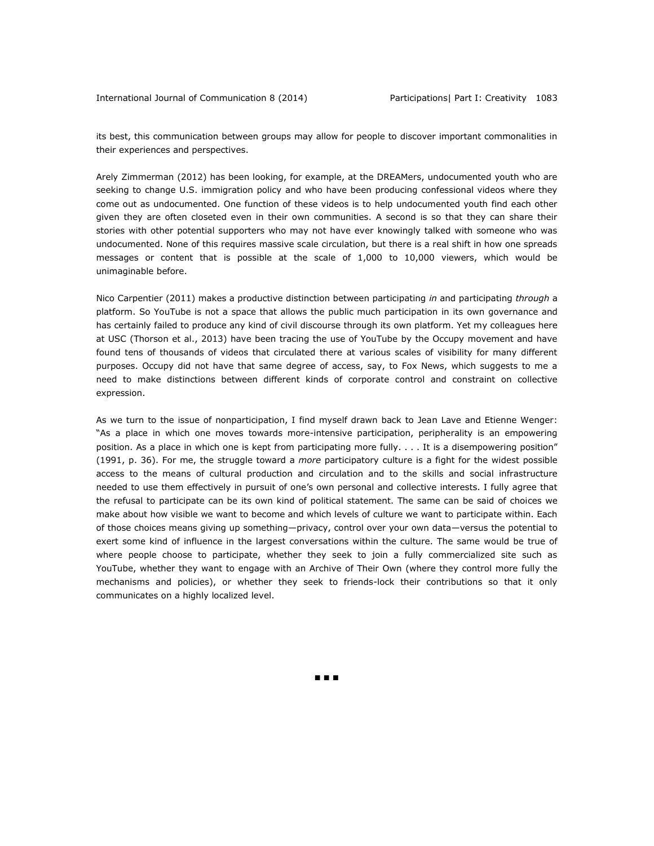its best, this communication between groups may allow for people to discover important commonalities in their experiences and perspectives.

Arely Zimmerman (2012) has been looking, for example, at the DREAMers, undocumented youth who are seeking to change U.S. immigration policy and who have been producing confessional videos where they come out as undocumented. One function of these videos is to help undocumented youth find each other given they are often closeted even in their own communities. A second is so that they can share their stories with other potential supporters who may not have ever knowingly talked with someone who was undocumented. None of this requires massive scale circulation, but there is a real shift in how one spreads messages or content that is possible at the scale of 1,000 to 10,000 viewers, which would be unimaginable before.

Nico Carpentier (2011) makes a productive distinction between participating *in* and participating *through* a platform. So YouTube is not a space that allows the public much participation in its own governance and has certainly failed to produce any kind of civil discourse through its own platform. Yet my colleagues here at USC (Thorson et al., 2013) have been tracing the use of YouTube by the Occupy movement and have found tens of thousands of videos that circulated there at various scales of visibility for many different purposes. Occupy did not have that same degree of access, say, to Fox News, which suggests to me a need to make distinctions between different kinds of corporate control and constraint on collective expression.

As we turn to the issue of nonparticipation, I find myself drawn back to Jean Lave and Etienne Wenger: "As a place in which one moves towards more-intensive participation, peripherality is an empowering position. As a place in which one is kept from participating more fully. . . . It is a disempowering position" (1991, p. 36). For me, the struggle toward a *more* participatory culture is a fight for the widest possible access to the means of cultural production and circulation and to the skills and social infrastructure needed to use them effectively in pursuit of one's own personal and collective interests. I fully agree that the refusal to participate can be its own kind of political statement. The same can be said of choices we make about how visible we want to become and which levels of culture we want to participate within. Each of those choices means giving up something—privacy, control over your own data—versus the potential to exert some kind of influence in the largest conversations within the culture. The same would be true of where people choose to participate, whether they seek to join a fully commercialized site such as YouTube, whether they want to engage with an Archive of Their Own (where they control more fully the mechanisms and policies), or whether they seek to friends-lock their contributions so that it only communicates on a highly localized level.

■ ■ ■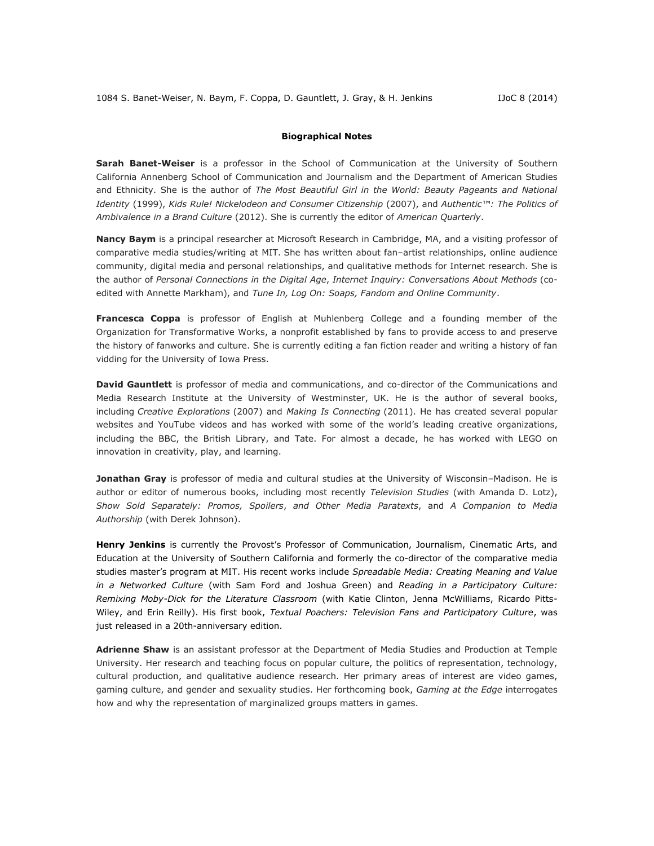#### **Biographical Notes**

**Sarah Banet-Weiser** is a professor in the School of Communication at the University of Southern California Annenberg School of Communication and Journalism and the Department of American Studies and Ethnicity. She is the author of *The Most Beautiful Girl in the World: Beauty Pageants and National Identity* (1999), *Kids Rule! Nickelodeon and Consumer Citizenship* (2007), and *Authentic™: The Politics of Ambivalence in a Brand Culture* (2012). She is currently the editor of *American Quarterly*.

**Nancy Baym** is a principal researcher at Microsoft Research in Cambridge, MA, and a visiting professor of comparative media studies/writing at MIT. She has written about fan–artist relationships, online audience community, digital media and personal relationships, and qualitative methods for Internet research. She is the author of *Personal Connections in the Digital Age*, *Internet Inquiry: Conversations About Methods* (coedited with Annette Markham), and *Tune In, Log On: Soaps, Fandom and Online Community*.

**Francesca Coppa** is professor of English at Muhlenberg College and a founding member of the Organization for Transformative Works, a nonprofit established by fans to provide access to and preserve the history of fanworks and culture. She is currently editing a fan fiction reader and writing a history of fan vidding for the University of Iowa Press.

**David Gauntlett** is professor of media and communications, and co-director of the Communications and Media Research Institute at the University of Westminster, UK. He is the author of several books, including *Creative Explorations* (2007) and *Making Is Connecting* (2011). He has created several popular websites and YouTube videos and has worked with some of the world's leading creative organizations, including the BBC, the British Library, and Tate. For almost a decade, he has worked with LEGO on innovation in creativity, play, and learning.

**Jonathan Gray** is professor of media and cultural studies at the University of Wisconsin–Madison. He is author or editor of numerous books, including most recently *Television Studies* (with Amanda D. Lotz), *Show Sold Separately: Promos, Spoilers*, *and Other Media Paratexts*, and *A Companion to Media Authorship* (with Derek Johnson).

**Henry Jenkins** is currently the Provost's Professor of Communication, Journalism, Cinematic Arts, and Education at the University of Southern California and formerly the co-director of the comparative media studies master's program at MIT. His recent works include *Spreadable Media: Creating Meaning and Value in a Networked Culture* (with Sam Ford and Joshua Green) and *Reading in a Participatory Culture: Remixing Moby-Dick for the Literature Classroom* (with Katie Clinton, Jenna McWilliams, Ricardo Pitts-Wiley, and Erin Reilly). His first book, *Textual Poachers: Television Fans and Participatory Culture*, was just released in a 20th-anniversary edition.

**Adrienne Shaw** is an assistant professor at the Department of Media Studies and Production at Temple University. Her research and teaching focus on popular culture, the politics of representation, technology, cultural production, and qualitative audience research. Her primary areas of interest are video games, gaming culture, and gender and sexuality studies. Her forthcoming book, *Gaming at the Edge* interrogates how and why the representation of marginalized groups matters in games.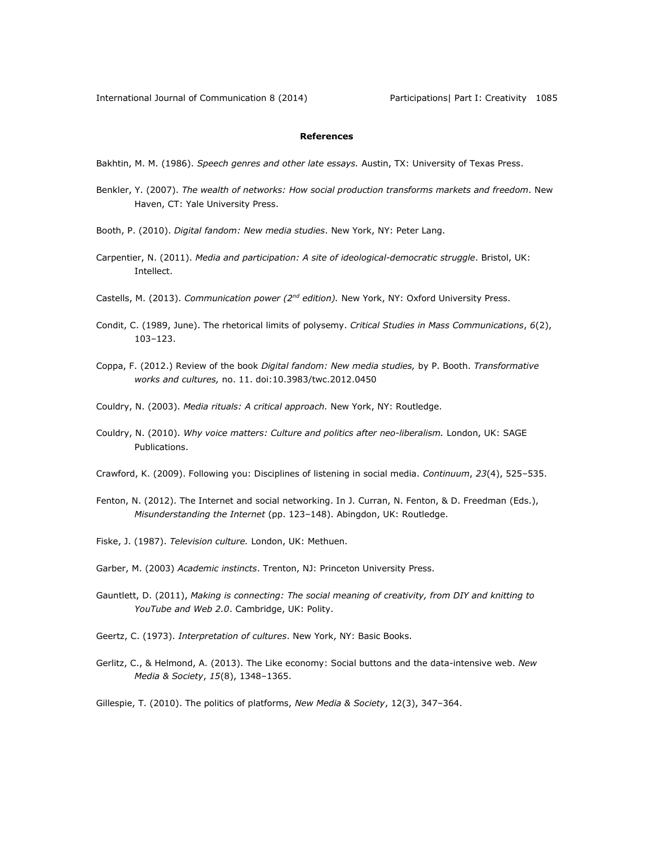# **References**

Bakhtin, M. M. (1986). *Speech genres and other late essays.* Austin, TX: University of Texas Press.

- Benkler, Y. (2007). *The wealth of networks: How social production transforms markets and freedom*. New Haven, CT: Yale University Press.
- Booth, P. (2010). *Digital fandom: New media studies*. New York, NY: Peter Lang.
- Carpentier, N. (2011). *Media and participation: A site of ideological-democratic struggle*. Bristol, UK: Intellect.
- Castells, M. (2013). *Communication power (2nd edition).* New York, NY: Oxford University Press.
- Condit, C. (1989, June). The rhetorical limits of polysemy. *Critical Studies in Mass Communications*, *6*(2), 103–123.
- Coppa, F. (2012.) Review of the book *Digital fandom: New media studies,* by P. Booth. *Transformative works and cultures,* no. 11. [doi:10.3983/twc.2012.0450](http://dx.doi.org/10.3983/twc.2012.0450)
- Couldry, N. (2003). *Media rituals: A critical approach.* New York, NY: Routledge.
- Couldry, N. (2010). *Why voice matters: Culture and politics after neo-liberalism.* London, UK: SAGE Publications.
- Crawford, K. (2009). Following you: Disciplines of listening in social media. *Continuum*, *23*(4), 525–535.
- Fenton, N. (2012). The Internet and social networking. In J. Curran, N. Fenton, & D. Freedman (Eds.), *Misunderstanding the Internet* (pp. 123–148). Abingdon, UK: Routledge.
- Fiske, J. (1987). *Television culture.* London, UK: Methuen.
- Garber, M. (2003) *Academic instincts*. Trenton, NJ: Princeton University Press.
- Gauntlett, D. (2011), *Making is connecting: The social meaning of creativity, from DIY and knitting to YouTube and Web 2.0*. Cambridge, UK: Polity.
- Geertz, C. (1973). *Interpretation of cultures*. New York, NY: Basic Books.
- Gerlitz, C., & Helmond, A. (2013). The Like economy: Social buttons and the data-intensive web. *New Media & Society*, *15*(8), 1348–1365.
- Gillespie, T. (2010). The politics of platforms, *New Media & Society*, 12(3), 347–364.